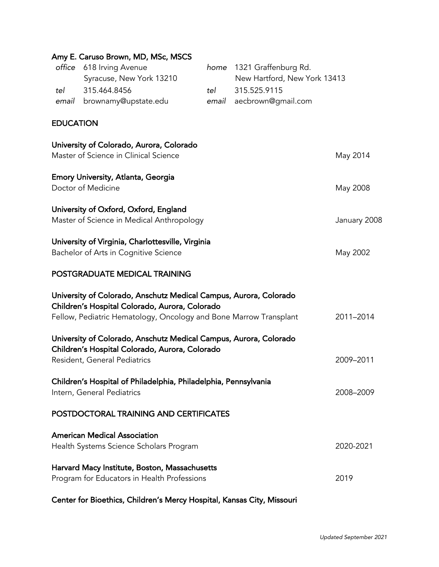|                  | Amy E. Caruso Brown, MD, MSc, MSCS                                     |       |                              |              |
|------------------|------------------------------------------------------------------------|-------|------------------------------|--------------|
| office           | 618 Irving Avenue                                                      | home  | 1321 Graffenburg Rd.         |              |
|                  | Syracuse, New York 13210                                               |       | New Hartford, New York 13413 |              |
| tel              | 315.464.8456                                                           | tel   | 315.525.9115                 |              |
| email            | brownamy@upstate.edu                                                   | email | aecbrown@gmail.com           |              |
| <b>EDUCATION</b> |                                                                        |       |                              |              |
|                  | University of Colorado, Aurora, Colorado                               |       |                              |              |
|                  | Master of Science in Clinical Science                                  |       |                              | May 2014     |
|                  | Emory University, Atlanta, Georgia                                     |       |                              |              |
|                  | Doctor of Medicine                                                     |       |                              | May 2008     |
|                  | University of Oxford, Oxford, England                                  |       |                              |              |
|                  | Master of Science in Medical Anthropology                              |       |                              | January 2008 |
|                  | University of Virginia, Charlottesville, Virginia                      |       |                              |              |
|                  | Bachelor of Arts in Cognitive Science                                  |       |                              | May 2002     |
|                  | POSTGRADUATE MEDICAL TRAINING                                          |       |                              |              |
|                  | University of Colorado, Anschutz Medical Campus, Aurora, Colorado      |       |                              |              |
|                  | Children's Hospital Colorado, Aurora, Colorado                         |       |                              |              |
|                  | Fellow, Pediatric Hematology, Oncology and Bone Marrow Transplant      |       |                              | 2011-2014    |
|                  | University of Colorado, Anschutz Medical Campus, Aurora, Colorado      |       |                              |              |
|                  | Children's Hospital Colorado, Aurora, Colorado                         |       |                              |              |
|                  | Resident, General Pediatrics                                           |       |                              | 2009-2011    |
|                  | Children's Hospital of Philadelphia, Philadelphia, Pennsylvania        |       |                              |              |
|                  | Intern, General Pediatrics                                             |       |                              | 2008-2009    |
|                  | POSTDOCTORAL TRAINING AND CERTIFICATES                                 |       |                              |              |
|                  | <b>American Medical Association</b>                                    |       |                              |              |
|                  | Health Systems Science Scholars Program                                |       |                              | 2020-2021    |
|                  | Harvard Macy Institute, Boston, Massachusetts                          |       |                              |              |
|                  | Program for Educators in Health Professions                            |       |                              | 2019         |
|                  | Center for Bioethics, Children's Mercy Hospital, Kansas City, Missouri |       |                              |              |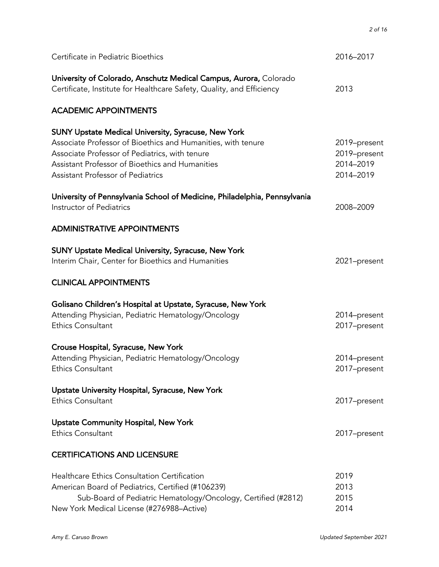| Certificate in Pediatric Bioethics                                                                                                                                                                                                                                          | 2016-2017                                              |
|-----------------------------------------------------------------------------------------------------------------------------------------------------------------------------------------------------------------------------------------------------------------------------|--------------------------------------------------------|
| University of Colorado, Anschutz Medical Campus, Aurora, Colorado<br>Certificate, Institute for Healthcare Safety, Quality, and Efficiency                                                                                                                                  | 2013                                                   |
| <b>ACADEMIC APPOINTMENTS</b>                                                                                                                                                                                                                                                |                                                        |
| <b>SUNY Upstate Medical University, Syracuse, New York</b><br>Associate Professor of Bioethics and Humanities, with tenure<br>Associate Professor of Pediatrics, with tenure<br>Assistant Professor of Bioethics and Humanities<br><b>Assistant Professor of Pediatrics</b> | 2019-present<br>2019-present<br>2014-2019<br>2014-2019 |
| University of Pennsylvania School of Medicine, Philadelphia, Pennsylvania<br>Instructor of Pediatrics                                                                                                                                                                       | 2008-2009                                              |
| <b>ADMINISTRATIVE APPOINTMENTS</b>                                                                                                                                                                                                                                          |                                                        |
| <b>SUNY Upstate Medical University, Syracuse, New York</b><br>Interim Chair, Center for Bioethics and Humanities                                                                                                                                                            | 2021-present                                           |
| <b>CLINICAL APPOINTMENTS</b>                                                                                                                                                                                                                                                |                                                        |
| Golisano Children's Hospital at Upstate, Syracuse, New York<br>Attending Physician, Pediatric Hematology/Oncology<br><b>Ethics Consultant</b>                                                                                                                               | 2014-present<br>2017-present                           |
| Crouse Hospital, Syracuse, New York<br>Attending Physician, Pediatric Hematology/Oncology<br>Ethics Consultant                                                                                                                                                              | 2014-present<br>2017-present                           |
| Upstate University Hospital, Syracuse, New York<br><b>Ethics Consultant</b>                                                                                                                                                                                                 | 2017-present                                           |
| <b>Upstate Community Hospital, New York</b><br><b>Ethics Consultant</b>                                                                                                                                                                                                     | 2017-present                                           |
| <b>CERTIFICATIONS AND LICENSURE</b>                                                                                                                                                                                                                                         |                                                        |
| <b>Healthcare Ethics Consultation Certification</b><br>American Board of Pediatrics, Certified (#106239)<br>Sub-Board of Pediatric Hematology/Oncology, Certified (#2812)<br>New York Medical License (#276988-Active)                                                      | 2019<br>2013<br>2015<br>2014                           |

*2 of 16*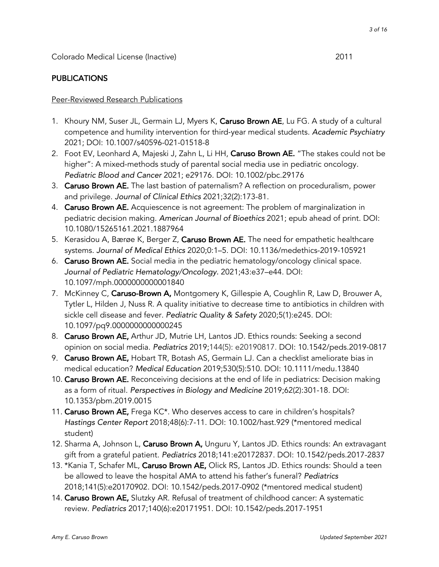### Peer-Reviewed Research Publications

- 1. Khoury NM, Suser JL, Germain LJ, Myers K, Caruso Brown AE, Lu FG. A study of a cultural competence and humility intervention for third-year medical students. *Academic Psychiatry*  2021; DOI: 10.1007/s40596-021-01518-8
- 2. Foot EV, Leonhard A, Majeski J, Zahn L, Li HH, Caruso Brown AE. "The stakes could not be higher": A mixed-methods study of parental social media use in pediatric oncology. *Pediatric Blood and Cancer* 2021; e29176. DOI: 10.1002/pbc.29176
- 3. Caruso Brown AE. The last bastion of paternalism? A reflection on proceduralism, power and privilege. *Journal of Clinical Ethics* 2021;32(2):173-81.
- 4. Caruso Brown AE. Acquiescence is not agreement: The problem of marginalization in pediatric decision making. *American Journal of Bioethics* 2021; epub ahead of print. DOI: 10.1080/15265161.2021.1887964
- 5. Kerasidou A, Bærøe K, Berger Z, Caruso Brown AE. The need for empathetic healthcare systems. *Journal of Medical Ethics* 2020;0:1–5. DOI: 10.1136/medethics-2019-105921
- 6. Caruso Brown AE. Social media in the pediatric hematology/oncology clinical space. *Journal of Pediatric Hematology/Oncology.* 2021;43:e37–e44. DOI: 10.1097/mph.0000000000001840
- 7. McKinney C, Caruso-Brown A, Montgomery K, Gillespie A, Coughlin R, Law D, Brouwer A, Tytler L, Hilden J, Nuss R. A quality initiative to decrease time to antibiotics in children with sickle cell disease and fever. *Pediatric Quality & Safety* 2020;5(1):e245. DOI: 10.1097/pq9.0000000000000245
- 8. Caruso Brown AE, Arthur JD, Mutrie LH, Lantos JD. Ethics rounds: Seeking a second opinion on social media. *Pediatrics* 2019;144(5): e20190817. DOI: 10.1542/peds.2019-0817
- 9. Caruso Brown AE, Hobart TR, Botash AS, Germain LJ. Can a checklist ameliorate bias in medical education? *Medical Education* 2019;530(5):510. DOI: 10.1111/medu.13840
- 10. Caruso Brown AE. Reconceiving decisions at the end of life in pediatrics: Decision making as a form of ritual. *Perspectives in Biology and Medicine* 2019;62(2):301-18. DOI: 10.1353/pbm.2019.0015
- 11. Caruso Brown AE, Frega KC<sup>\*</sup>. Who deserves access to care in children's hospitals? *Hastings Center Report* 2018;48(6):7-11. DOI: 10.1002/hast.929 (\*mentored medical student)
- 12. Sharma A, Johnson L, Caruso Brown A, Unguru Y, Lantos JD. Ethics rounds: An extravagant gift from a grateful patient. *Pediatrics* 2018;141:e20172837. DOI: 10.1542/peds.2017-2837
- 13. \*Kania T, Schafer ML, Caruso Brown AE, Olick RS, Lantos JD. Ethics rounds: Should a teen be allowed to leave the hospital AMA to attend his father's funeral? *Pediatrics* 2018;141(5):e20170902. DOI: 10.1542/peds.2017-0902 (\*mentored medical student)
- 14. Caruso Brown AE, Slutzky AR. Refusal of treatment of childhood cancer: A systematic review. *Pediatrics* 2017;140(6):e20171951. DOI: 10.1542/peds.2017-1951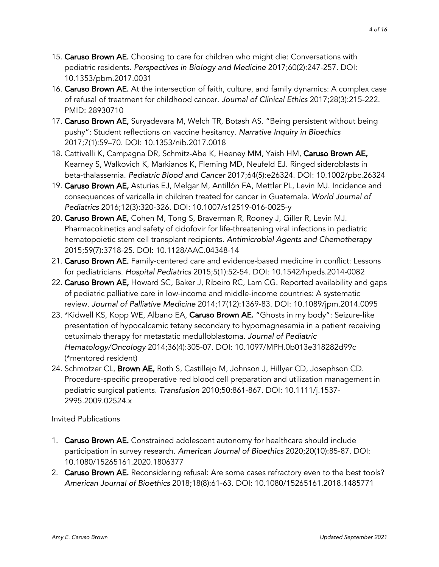- 15. Caruso Brown AE. Choosing to care for children who might die: Conversations with pediatric residents. *Perspectives in Biology and Medicine* 2017;60(2):247-257. DOI: 10.1353/pbm.2017.0031
- 16. Caruso Brown AE. At the intersection of faith, culture, and family dynamics: A complex case of refusal of treatment for childhood cancer. *Journal of Clinical Ethics* 2017;28(3):215-222. PMID: 28930710
- 17. Caruso Brown AE, Suryadevara M, Welch TR, Botash AS. "Being persistent without being pushy": Student reflections on vaccine hesitancy. *Narrative Inquiry in Bioethics* 2017;7(1):59–70. DOI: 10.1353/nib.2017.0018
- 18. Cattivelli K, Campagna DR, Schmitz-Abe K, Heeney MM, Yaish HM, Caruso Brown AE, Kearney S, Walkovich K, Markianos K, Fleming MD, Neufeld EJ. Ringed sideroblasts in beta-thalassemia. *Pediatric Blood and Cancer* 2017;64(5):e26324. DOI: 10.1002/pbc.26324
- 19. Caruso Brown AE, Asturias EJ, Melgar M, Antillón FA, Mettler PL, Levin MJ. Incidence and consequences of varicella in children treated for cancer in Guatemala. *World Journal of Pediatrics* 2016;12(3):320-326. DOI: 10.1007/s12519-016-0025-y
- 20. Caruso Brown AE, Cohen M, Tong S, Braverman R, Rooney J, Giller R, Levin MJ. Pharmacokinetics and safety of cidofovir for life-threatening viral infections in pediatric hematopoietic stem cell transplant recipients. *Antimicrobial Agents and Chemotherapy* 2015;59(7):3718-25. DOI: 10.1128/AAC.04348-14
- 21. Caruso Brown AE. Family-centered care and evidence-based medicine in conflict: Lessons for pediatricians. *Hospital Pediatrics* 2015;5(1):52-54. DOI: 10.1542/hpeds.2014-0082
- 22. Caruso Brown AE, Howard SC, Baker J, Ribeiro RC, Lam CG. Reported availability and gaps of pediatric palliative care in low-income and middle-income countries: A systematic review. *Journal of Palliative Medicine* 2014;17(12):1369-83. DOI: 10.1089/jpm.2014.0095
- 23. \*Kidwell KS, Kopp WE, Albano EA, Caruso Brown AE. "Ghosts in my body": Seizure-like presentation of hypocalcemic tetany secondary to hypomagnesemia in a patient receiving cetuximab therapy for metastatic medulloblastoma. *Journal of Pediatric Hematology/Oncology* 2014;36(4):305-07. DOI: 10.1097/MPH.0b013e318282d99c (\*mentored resident)
- 24. Schmotzer CL, **Brown AE,** Roth S, Castillejo M, Johnson J, Hillyer CD, Josephson CD. Procedure-specific preoperative red blood cell preparation and utilization management in pediatric surgical patients. *Transfusion* 2010;50:861-867. DOI: 10.1111/j.1537- 2995.2009.02524.x

# Invited Publications

- 1. Caruso Brown AE. Constrained adolescent autonomy for healthcare should include participation in survey research. *American Journal of Bioethics* 2020;20(10):85-87. DOI: 10.1080/15265161.2020.1806377
- 2. Caruso Brown AE. Reconsidering refusal: Are some cases refractory even to the best tools? *American Journal of Bioethics* 2018;18(8):61-63. DOI: 10.1080/15265161.2018.1485771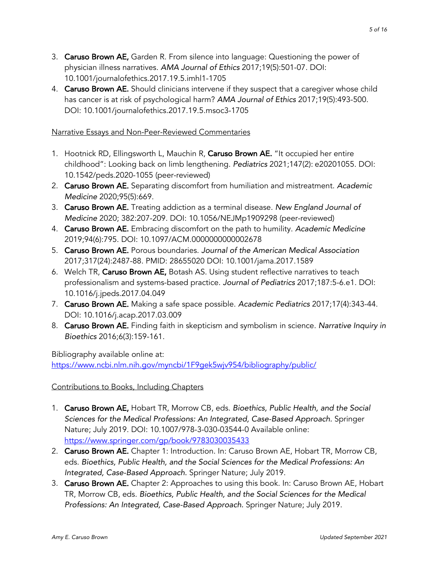- 3. Caruso Brown AE, Garden R. From silence into language: Questioning the power of physician illness narratives. *AMA Journal of Ethics* 2017;19(5):501-07. DOI: 10.1001/journalofethics.2017.19.5.imhl1-1705
- 4. **Caruso Brown AE.** Should clinicians intervene if they suspect that a caregiver whose child has cancer is at risk of psychological harm? *AMA Journal of Ethics* 2017;19(5):493-500. DOI: 10.1001/journalofethics.2017.19.5.msoc3-1705

### Narrative Essays and Non-Peer-Reviewed Commentaries

- 1. Hootnick RD, Ellingsworth L, Mauchin R, Caruso Brown AE. "It occupied her entire childhood": Looking back on limb lengthening. *Pediatrics* 2021;147(2): e20201055. DOI: 10.1542/peds.2020-1055 (peer-reviewed)
- 2. Caruso Brown AE. Separating discomfort from humiliation and mistreatment. *Academic Medicine* 2020;95(5):669.
- 3. Caruso Brown AE. Treating addiction as a terminal disease. *New England Journal of Medicine* 2020; 382:207-209. DOI: 10.1056/NEJMp1909298 (peer-reviewed)
- 4. Caruso Brown AE. Embracing discomfort on the path to humility. *Academic Medicine*  2019;94(6):795. DOI: 10.1097/ACM.0000000000002678
- 5. Caruso Brown AE. Porous boundaries. *Journal of the American Medical Association* 2017;317(24):2487-88. PMID: 28655020 DOI: 10.1001/jama.2017.1589
- 6. Welch TR, Caruso Brown AE, Botash AS. Using student reflective narratives to teach professionalism and systems-based practice. *Journal of Pediatrics* 2017;187:5-6.e1. DOI: 10.1016/j.jpeds.2017.04.049
- 7. Caruso Brown AE. Making a safe space possible. *Academic Pediatrics* 2017;17(4):343-44. DOI: 10.1016/j.acap.2017.03.009
- 8. Caruso Brown AE. Finding faith in skepticism and symbolism in science. *Narrative Inquiry in Bioethics* 2016;6(3):159-161.

Bibliography available online at: https://www.ncbi.nlm.nih.gov/myncbi/1F9gek5wjv954/bibliography/public/

# Contributions to Books, Including Chapters

- 1. Caruso Brown AE, Hobart TR, Morrow CB, eds. *Bioethics, Public Health, and the Social Sciences for the Medical Professions: An Integrated, Case-Based Approach.* Springer Nature; July 2019. DOI: 10.1007/978-3-030-03544-0 Available online: https://www.springer.com/gp/book/9783030035433
- 2. Caruso Brown AE. Chapter 1: Introduction. In: Caruso Brown AE, Hobart TR, Morrow CB, eds. *Bioethics, Public Health, and the Social Sciences for the Medical Professions: An Integrated, Case-Based Approach.* Springer Nature; July 2019.
- 3. Caruso Brown AE. Chapter 2: Approaches to using this book. In: Caruso Brown AE, Hobart TR, Morrow CB, eds. *Bioethics, Public Health, and the Social Sciences for the Medical Professions: An Integrated, Case-Based Approach.* Springer Nature; July 2019.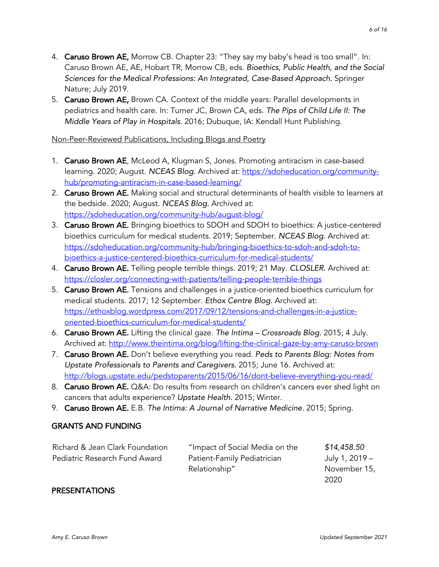- 4. Caruso Brown AE, Morrow CB. Chapter 23: "They say my baby's head is too small". In: Caruso Brown AE, AE, Hobart TR, Morrow CB, eds. *Bioethics, Public Health, and the Social Sciences for the Medical Professions: An Integrated, Case-Based Approach.* Springer Nature; July 2019.
- 5. Caruso Brown AE, Brown CA. Context of the middle years: Parallel developments in pediatrics and health care. In: Turner JC, Brown CA, eds. *The Pips of Child Life II: The Middle Years of Play in Hospitals*. 2016; Dubuque, IA: Kendall Hunt Publishing.

#### Non-Peer-Reviewed Publications, Including Blogs and Poetry

- 1. Caruso Brown AE, McLeod A, Klugman S, Jones. Promoting antiracism in case-based learning. 2020; August. *NCEAS Blog.* Archived at: https://sdoheducation.org/communityhub/promoting-antiracism-in-case-based-learning/
- 2. Caruso Brown AE. Making social and structural determinants of health visible to learners at the bedside. 2020; August. *NCEAS Blog.* Archived at: https://sdoheducation.org/community-hub/august-blog/
- 3. Caruso Brown AE. Bringing bioethics to SDOH and SDOH to bioethics: A justice-centered bioethics curriculum for medical students. 2019; September. *NCEAS Blog.* Archived at: https://sdoheducation.org/community-hub/bringing-bioethics-to-sdoh-and-sdoh-tobioethics-a-justice-centered-bioethics-curriculum-for-medical-students/
- 4. Caruso Brown AE. Telling people terrible things. 2019; 21 May. *CLOSLER.* Archived at: https://closler.org/connecting-with-patients/telling-people-terrible-things
- 5. Caruso Brown AE. Tensions and challenges in a justice-oriented bioethics curriculum for medical students. 2017; 12 September. *Ethox Centre Blog.* Archived at: https://ethoxblog.wordpress.com/2017/09/12/tensions-and-challenges-in-a-justiceoriented-bioethics-curriculum-for-medical-students/
- 6. Caruso Brown AE. Lifting the clinical gaze. *The Intima – Crossroads Blog.* 2015; 4 July. Archived at: http://www.theintima.org/blog/lifting-the-clinical-gaze-by-amy-caruso-brown
- 7. Caruso Brown AE. Don't believe everything you read. *Peds to Parents Blog: Notes from Upstate Professionals to Parents and Caregivers.* 2015; June 16. Archived at: http://blogs.upstate.edu/pedstoparents/2015/06/16/dont-believe-everything-you-read/
- 8. Caruso Brown AE. Q&A: Do results from research on children's cancers ever shed light on cancers that adults experience? *Upstate Health.* 2015; Winter.
- 9. Caruso Brown AE. E.B. *The Intima: A Journal of Narrative Medicine.* 2015; Spring.

# GRANTS AND FUNDING

| Richard & Jean Clark Foundation | "Impact of Social Media on the | \$14,458.50    |
|---------------------------------|--------------------------------|----------------|
| Pediatric Research Fund Award   | Patient-Family Pediatrician    | July 1, 2019 – |
|                                 | Relationship"                  | November 15,   |
|                                 |                                | 2020           |

# PRESENTATIONS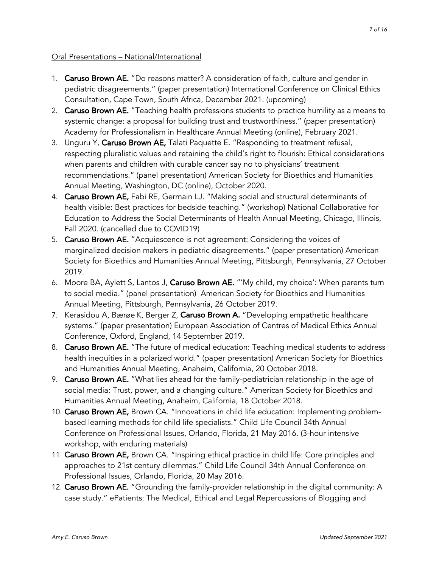#### Oral Presentations – National/International

- 1. Caruso Brown AE. "Do reasons matter? A consideration of faith, culture and gender in pediatric disagreements." (paper presentation) International Conference on Clinical Ethics Consultation, Cape Town, South Africa, December 2021. (upcoming)
- 2. Caruso Brown AE. "Teaching health professions students to practice humility as a means to systemic change: a proposal for building trust and trustworthiness." (paper presentation) Academy for Professionalism in Healthcare Annual Meeting (online), February 2021.
- 3. Unguru Y, Caruso Brown AE, Talati Paquette E. "Responding to treatment refusal, respecting pluralistic values and retaining the child's right to flourish: Ethical considerations when parents and children with curable cancer say no to physicians' treatment recommendations." (panel presentation) American Society for Bioethics and Humanities Annual Meeting, Washington, DC (online), October 2020.
- 4. Caruso Brown AE, Fabi RE, Germain LJ. "Making social and structural determinants of health visible: Best practices for bedside teaching." (workshop) National Collaborative for Education to Address the Social Determinants of Health Annual Meeting, Chicago, Illinois, Fall 2020. (cancelled due to COVID19)
- 5. Caruso Brown AE. "Acquiescence is not agreement: Considering the voices of marginalized decision makers in pediatric disagreements." (paper presentation) American Society for Bioethics and Humanities Annual Meeting, Pittsburgh, Pennsylvania, 27 October 2019.
- 6. Moore BA, Aylett S, Lantos J, Caruso Brown AE. "'My child, my choice': When parents turn to social media." (panel presentation) American Society for Bioethics and Humanities Annual Meeting, Pittsburgh, Pennsylvania, 26 October 2019.
- 7. Kerasidou A, Bærøe K, Berger Z, Caruso Brown A. "Developing empathetic healthcare systems." (paper presentation) European Association of Centres of Medical Ethics Annual Conference, Oxford, England, 14 September 2019.
- 8. Caruso Brown AE. "The future of medical education: Teaching medical students to address health inequities in a polarized world." (paper presentation) American Society for Bioethics and Humanities Annual Meeting, Anaheim, California, 20 October 2018.
- 9. Caruso Brown AE. "What lies ahead for the family-pediatrician relationship in the age of social media: Trust, power, and a changing culture." American Society for Bioethics and Humanities Annual Meeting, Anaheim, California, 18 October 2018.
- 10. Caruso Brown AE, Brown CA. "Innovations in child life education: Implementing problembased learning methods for child life specialists." Child Life Council 34th Annual Conference on Professional Issues, Orlando, Florida, 21 May 2016. (3-hour intensive workshop, with enduring materials)
- 11. Caruso Brown AE, Brown CA. "Inspiring ethical practice in child life: Core principles and approaches to 21st century dilemmas." Child Life Council 34th Annual Conference on Professional Issues, Orlando, Florida, 20 May 2016.
- 12. Caruso Brown AE. "Grounding the family-provider relationship in the digital community: A case study." ePatients: The Medical, Ethical and Legal Repercussions of Blogging and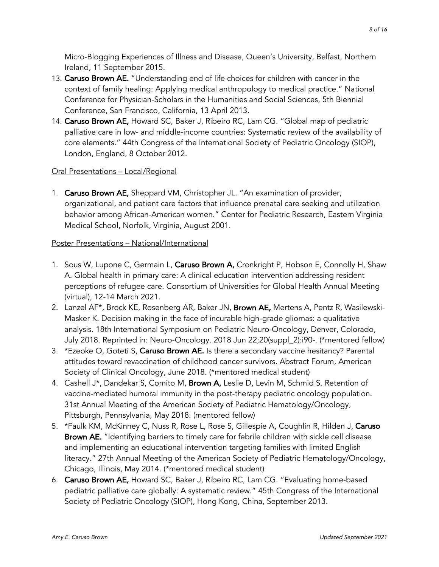Micro-Blogging Experiences of Illness and Disease, Queen's University, Belfast, Northern Ireland, 11 September 2015.

- 13. Caruso Brown AE. "Understanding end of life choices for children with cancer in the context of family healing: Applying medical anthropology to medical practice." National Conference for Physician-Scholars in the Humanities and Social Sciences, 5th Biennial Conference, San Francisco, California, 13 April 2013.
- 14. Caruso Brown AE, Howard SC, Baker J, Ribeiro RC, Lam CG. "Global map of pediatric palliative care in low- and middle-income countries: Systematic review of the availability of core elements." 44th Congress of the International Society of Pediatric Oncology (SIOP), London, England, 8 October 2012.

# Oral Presentations – Local/Regional

1. Caruso Brown AE, Sheppard VM, Christopher JL. "An examination of provider, organizational, and patient care factors that influence prenatal care seeking and utilization behavior among African-American women." Center for Pediatric Research, Eastern Virginia Medical School, Norfolk, Virginia, August 2001.

#### Poster Presentations – National/International

- 1. Sous W, Lupone C, Germain L, Caruso Brown A, Cronkright P, Hobson E, Connolly H, Shaw A. Global health in primary care: A clinical education intervention addressing resident perceptions of refugee care. Consortium of Universities for Global Health Annual Meeting (virtual), 12-14 March 2021.
- 2. Lanzel AF\*, Brock KE, Rosenberg AR, Baker JN, Brown AE, Mertens A, Pentz R, Wasilewski-Masker K. Decision making in the face of incurable high-grade gliomas: a qualitative analysis. 18th International Symposium on Pediatric Neuro-Oncology, Denver, Colorado, July 2018. Reprinted in: Neuro-Oncology. 2018 Jun 22;20(suppl\_2):i90-. (\*mentored fellow)
- 3. \*Ezeoke O, Goteti S, Caruso Brown AE. Is there a secondary vaccine hesitancy? Parental attitudes toward revaccination of childhood cancer survivors. Abstract Forum, American Society of Clinical Oncology, June 2018. (\*mentored medical student)
- 4. Cashell J\*, Dandekar S, Comito M, Brown A, Leslie D, Levin M, Schmid S. Retention of vaccine-mediated humoral immunity in the post-therapy pediatric oncology population. 31st Annual Meeting of the American Society of Pediatric Hematology/Oncology, Pittsburgh, Pennsylvania, May 2018. (mentored fellow)
- 5. \*Faulk KM, McKinney C, Nuss R, Rose L, Rose S, Gillespie A, Coughlin R, Hilden J, Caruso Brown AE. "Identifying barriers to timely care for febrile children with sickle cell disease and implementing an educational intervention targeting families with limited English literacy." 27th Annual Meeting of the American Society of Pediatric Hematology/Oncology, Chicago, Illinois, May 2014. (\*mentored medical student)
- 6. Caruso Brown AE, Howard SC, Baker J, Ribeiro RC, Lam CG. "Evaluating home-based pediatric palliative care globally: A systematic review." 45th Congress of the International Society of Pediatric Oncology (SIOP), Hong Kong, China, September 2013.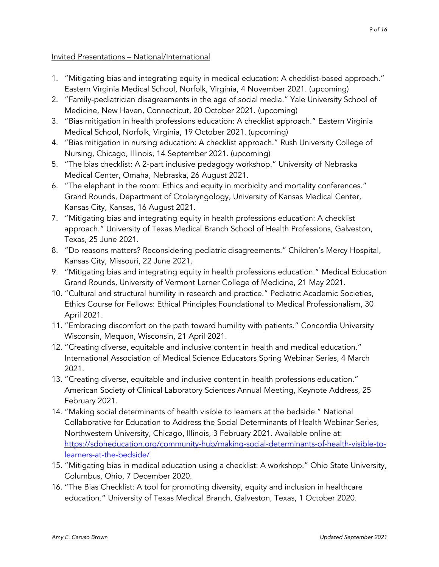Invited Presentations – National/International

- 1. "Mitigating bias and integrating equity in medical education: A checklist-based approach." Eastern Virginia Medical School, Norfolk, Virginia, 4 November 2021. (upcoming)
- 2. "Family-pediatrician disagreements in the age of social media." Yale University School of Medicine, New Haven, Connecticut, 20 October 2021. (upcoming)
- 3. "Bias mitigation in health professions education: A checklist approach." Eastern Virginia Medical School, Norfolk, Virginia, 19 October 2021. (upcoming)
- 4. "Bias mitigation in nursing education: A checklist approach." Rush University College of Nursing, Chicago, Illinois, 14 September 2021. (upcoming)
- 5. "The bias checklist: A 2-part inclusive pedagogy workshop." University of Nebraska Medical Center, Omaha, Nebraska, 26 August 2021.
- 6. "The elephant in the room: Ethics and equity in morbidity and mortality conferences." Grand Rounds, Department of Otolaryngology, University of Kansas Medical Center, Kansas City, Kansas, 16 August 2021.
- 7. "Mitigating bias and integrating equity in health professions education: A checklist approach." University of Texas Medical Branch School of Health Professions, Galveston, Texas, 25 June 2021.
- 8. "Do reasons matters? Reconsidering pediatric disagreements." Children's Mercy Hospital, Kansas City, Missouri, 22 June 2021.
- 9. "Mitigating bias and integrating equity in health professions education." Medical Education Grand Rounds, University of Vermont Lerner College of Medicine, 21 May 2021.
- 10. "Cultural and structural humility in research and practice." Pediatric Academic Societies, Ethics Course for Fellows: Ethical Principles Foundational to Medical Professionalism, 30 April 2021.
- 11. "Embracing discomfort on the path toward humility with patients." Concordia University Wisconsin, Mequon, Wisconsin, 21 April 2021.
- 12. "Creating diverse, equitable and inclusive content in health and medical education." International Association of Medical Science Educators Spring Webinar Series, 4 March 2021.
- 13. "Creating diverse, equitable and inclusive content in health professions education." American Society of Clinical Laboratory Sciences Annual Meeting, Keynote Address, 25 February 2021.
- 14. "Making social determinants of health visible to learners at the bedside." National Collaborative for Education to Address the Social Determinants of Health Webinar Series, Northwestern University, Chicago, Illinois, 3 February 2021. Available online at: https://sdoheducation.org/community-hub/making-social-determinants-of-health-visible-tolearners-at-the-bedside/
- 15. "Mitigating bias in medical education using a checklist: A workshop." Ohio State University, Columbus, Ohio, 7 December 2020.
- 16. "The Bias Checklist: A tool for promoting diversity, equity and inclusion in healthcare education." University of Texas Medical Branch, Galveston, Texas, 1 October 2020.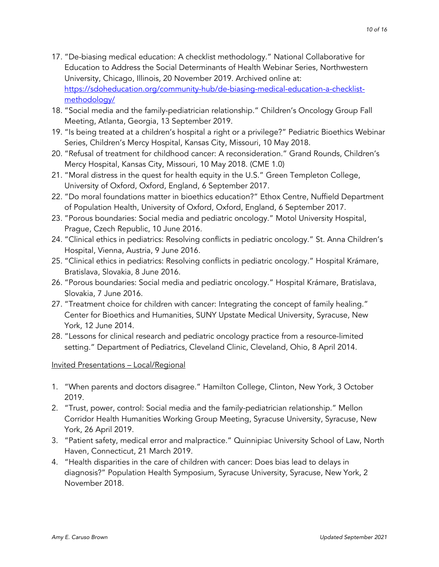- 17. "De-biasing medical education: A checklist methodology." National Collaborative for Education to Address the Social Determinants of Health Webinar Series, Northwestern University, Chicago, Illinois, 20 November 2019. Archived online at: https://sdoheducation.org/community-hub/de-biasing-medical-education-a-checklistmethodology/
- 18. "Social media and the family-pediatrician relationship." Children's Oncology Group Fall Meeting, Atlanta, Georgia, 13 September 2019.
- 19. "Is being treated at a children's hospital a right or a privilege?" Pediatric Bioethics Webinar Series, Children's Mercy Hospital, Kansas City, Missouri, 10 May 2018.
- 20. "Refusal of treatment for childhood cancer: A reconsideration." Grand Rounds, Children's Mercy Hospital, Kansas City, Missouri, 10 May 2018. (CME 1.0)
- 21. "Moral distress in the quest for health equity in the U.S." Green Templeton College, University of Oxford, Oxford, England, 6 September 2017.
- 22. "Do moral foundations matter in bioethics education?" Ethox Centre, Nuffield Department of Population Health, University of Oxford, Oxford, England, 6 September 2017.
- 23. "Porous boundaries: Social media and pediatric oncology." Motol University Hospital, Prague, Czech Republic, 10 June 2016.
- 24. "Clinical ethics in pediatrics: Resolving conflicts in pediatric oncology." St. Anna Children's Hospital, Vienna, Austria, 9 June 2016.
- 25. "Clinical ethics in pediatrics: Resolving conflicts in pediatric oncology." Hospital Krámare, Bratislava, Slovakia, 8 June 2016.
- 26. "Porous boundaries: Social media and pediatric oncology." Hospital Krámare, Bratislava, Slovakia, 7 June 2016.
- 27. "Treatment choice for children with cancer: Integrating the concept of family healing." Center for Bioethics and Humanities, SUNY Upstate Medical University, Syracuse, New York, 12 June 2014.
- 28. "Lessons for clinical research and pediatric oncology practice from a resource-limited setting." Department of Pediatrics, Cleveland Clinic, Cleveland, Ohio, 8 April 2014.

# Invited Presentations – Local/Regional

- 1. "When parents and doctors disagree." Hamilton College, Clinton, New York, 3 October 2019.
- 2. "Trust, power, control: Social media and the family-pediatrician relationship." Mellon Corridor Health Humanities Working Group Meeting, Syracuse University, Syracuse, New York, 26 April 2019.
- 3. "Patient safety, medical error and malpractice." Quinnipiac University School of Law, North Haven, Connecticut, 21 March 2019.
- 4. "Health disparities in the care of children with cancer: Does bias lead to delays in diagnosis?" Population Health Symposium, Syracuse University, Syracuse, New York, 2 November 2018.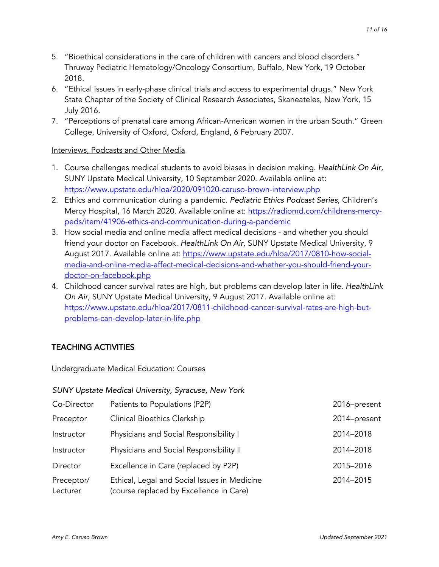- 5. "Bioethical considerations in the care of children with cancers and blood disorders." Thruway Pediatric Hematology/Oncology Consortium, Buffalo, New York, 19 October 2018.
- 6. "Ethical issues in early-phase clinical trials and access to experimental drugs." New York State Chapter of the Society of Clinical Research Associates, Skaneateles, New York, 15 July 2016.
- 7. "Perceptions of prenatal care among African-American women in the urban South." Green College, University of Oxford, Oxford, England, 6 February 2007.

#### Interviews, Podcasts and Other Media

- 1. Course challenges medical students to avoid biases in decision making. *HealthLink On Air,*  SUNY Upstate Medical University, 10 September 2020. Available online at: https://www.upstate.edu/hloa/2020/091020-caruso-brown-interview.php
- 2. Ethics and communication during a pandemic. *Pediatric Ethics Podcast Series,* Children's Mercy Hospital, 16 March 2020. Available online at: https://radiomd.com/childrens-mercypeds/item/41906-ethics-and-communication-during-a-pandemic
- 3. How social media and online media affect medical decisions and whether you should friend your doctor on Facebook. *HealthLink On Air,* SUNY Upstate Medical University, 9 August 2017. Available online at: https://www.upstate.edu/hloa/2017/0810-how-socialmedia-and-online-media-affect-medical-decisions-and-whether-you-should-friend-yourdoctor-on-facebook.php
- 4. Childhood cancer survival rates are high, but problems can develop later in life. *HealthLink On Air,* SUNY Upstate Medical University, 9 August 2017. Available online at: https://www.upstate.edu/hloa/2017/0811-childhood-cancer-survival-rates-are-high-butproblems-can-develop-later-in-life.php

# TEACHING ACTIVITIES

Undergraduate Medical Education: Courses

|                        | <b>SUNY Upstate Medical University, Syracuse, New York</b>                              |              |
|------------------------|-----------------------------------------------------------------------------------------|--------------|
| Co-Director            | Patients to Populations (P2P)                                                           | 2016-present |
| Preceptor              | <b>Clinical Bioethics Clerkship</b>                                                     | 2014-present |
| Instructor             | Physicians and Social Responsibility I                                                  | 2014-2018    |
| Instructor             | Physicians and Social Responsibility II                                                 | 2014-2018    |
| Director               | Excellence in Care (replaced by P2P)                                                    | 2015-2016    |
| Preceptor/<br>Lecturer | Ethical, Legal and Social Issues in Medicine<br>(course replaced by Excellence in Care) | 2014-2015    |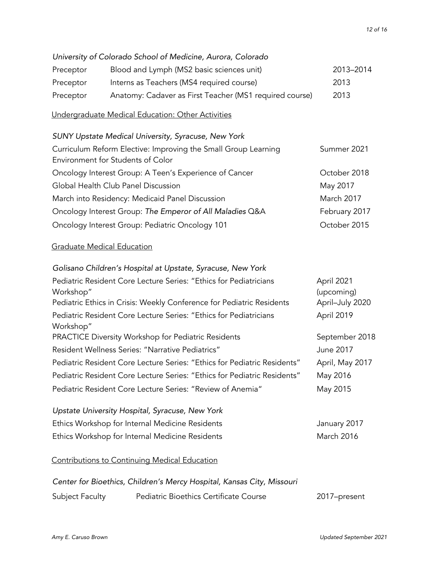|           | University of Colorado School of Medicine, Aurora, Colorado                                         |                          |
|-----------|-----------------------------------------------------------------------------------------------------|--------------------------|
| Preceptor | Blood and Lymph (MS2 basic sciences unit)                                                           | 2013-2014                |
| Preceptor | Interns as Teachers (MS4 required course)                                                           | 2013                     |
| Preceptor | Anatomy: Cadaver as First Teacher (MS1 required course)                                             | 2013                     |
|           | Undergraduate Medical Education: Other Activities                                                   |                          |
|           | <b>SUNY Upstate Medical University, Syracuse, New York</b>                                          |                          |
|           | Curriculum Reform Elective: Improving the Small Group Learning<br>Environment for Students of Color | Summer 2021              |
|           | Oncology Interest Group: A Teen's Experience of Cancer                                              | October 2018             |
|           | Global Health Club Panel Discussion                                                                 | May 2017                 |
|           | March into Residency: Medicaid Panel Discussion                                                     | March 2017               |
|           | Oncology Interest Group: The Emperor of All Maladies Q&A                                            | February 2017            |
|           | Oncology Interest Group: Pediatric Oncology 101                                                     | October 2015             |
|           | <b>Graduate Medical Education</b>                                                                   |                          |
|           | Golisano Children's Hospital at Upstate, Syracuse, New York                                         |                          |
| Workshop" | Pediatric Resident Core Lecture Series: "Ethics for Pediatricians                                   | April 2021<br>(upcoming) |
|           | Pediatric Ethics in Crisis: Weekly Conference for Pediatric Residents                               | April-July 2020          |
| Workshop" | Pediatric Resident Core Lecture Series: "Ethics for Pediatricians                                   | April 2019               |
|           | PRACTICE Diversity Workshop for Pediatric Residents                                                 | September 2018           |
|           | Resident Wellness Series: "Narrative Pediatrics"                                                    | June 2017                |
|           | Pediatric Resident Core Lecture Series: "Ethics for Pediatric Residents"                            | April, May 2017          |
|           | Pediatric Resident Core Lecture Series: "Ethics for Pediatric Residents"                            | May 2016                 |
|           | Pediatric Resident Core Lecture Series: "Review of Anemia"                                          | May 2015                 |
|           | Upstate University Hospital, Syracuse, New York                                                     |                          |
|           | Ethics Workshop for Internal Medicine Residents                                                     | January 2017             |
|           | Ethics Workshop for Internal Medicine Residents                                                     | March 2016               |
|           | <b>Contributions to Continuing Medical Education</b>                                                |                          |
|           | Center for Bioethics, Children's Mercy Hospital, Kansas City, Missouri                              |                          |

Subject Faculty Pediatric Bioethics Certificate Course 2017–present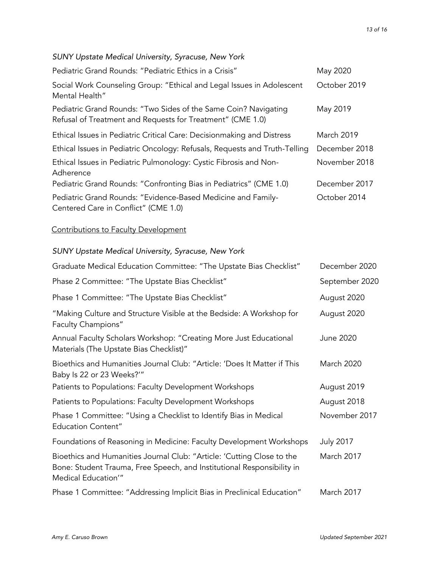# *SUNY Upstate Medical University, Syracuse, New York*

| Pediatric Grand Rounds: "Pediatric Ethics in a Crisis"                                                                        | May 2020          |
|-------------------------------------------------------------------------------------------------------------------------------|-------------------|
| Social Work Counseling Group: "Ethical and Legal Issues in Adolescent<br>Mental Health"                                       | October 2019      |
| Pediatric Grand Rounds: "Two Sides of the Same Coin? Navigating<br>Refusal of Treatment and Requests for Treatment" (CME 1.0) | May 2019          |
| Ethical Issues in Pediatric Critical Care: Decisionmaking and Distress                                                        | <b>March 2019</b> |
| Ethical Issues in Pediatric Oncology: Refusals, Requests and Truth-Telling                                                    | December 2018     |
| Ethical Issues in Pediatric Pulmonology: Cystic Fibrosis and Non-<br>Adherence                                                | November 2018     |
| Pediatric Grand Rounds: "Confronting Bias in Pediatrics" (CME 1.0)                                                            | December 2017     |
| Pediatric Grand Rounds: "Evidence-Based Medicine and Family-<br>Centered Care in Conflict" (CME 1.0)                          | October 2014      |

# Contributions to Faculty Development

# *SUNY Upstate Medical University, Syracuse, New York*

| Graduate Medical Education Committee: "The Upstate Bias Checklist"                                                                                                     | December 2020     |
|------------------------------------------------------------------------------------------------------------------------------------------------------------------------|-------------------|
| Phase 2 Committee: "The Upstate Bias Checklist"                                                                                                                        | September 2020    |
| Phase 1 Committee: "The Upstate Bias Checklist"                                                                                                                        | August 2020       |
| "Making Culture and Structure Visible at the Bedside: A Workshop for<br>Faculty Champions"                                                                             | August 2020       |
| Annual Faculty Scholars Workshop: "Creating More Just Educational<br>Materials (The Upstate Bias Checklist)"                                                           | June 2020         |
| Bioethics and Humanities Journal Club: "Article: 'Does It Matter if This<br>Baby Is 22 or 23 Weeks?"                                                                   | March 2020        |
| Patients to Populations: Faculty Development Workshops                                                                                                                 | August 2019       |
| Patients to Populations: Faculty Development Workshops                                                                                                                 | August 2018       |
| Phase 1 Committee: "Using a Checklist to Identify Bias in Medical<br><b>Education Content"</b>                                                                         | November 2017     |
| Foundations of Reasoning in Medicine: Faculty Development Workshops                                                                                                    | <b>July 2017</b>  |
| Bioethics and Humanities Journal Club: "Article: 'Cutting Close to the<br>Bone: Student Trauma, Free Speech, and Institutional Responsibility in<br>Medical Education" | March 2017        |
| Phase 1 Committee: "Addressing Implicit Bias in Preclinical Education"                                                                                                 | <b>March 2017</b> |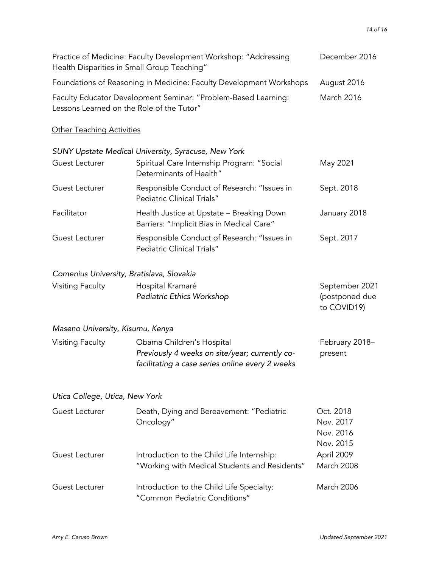| Health Disparities in Small Group Teaching" | Practice of Medicine: Faculty Development Workshop: "Addressing                                                                | December 2016                                    |
|---------------------------------------------|--------------------------------------------------------------------------------------------------------------------------------|--------------------------------------------------|
|                                             | Foundations of Reasoning in Medicine: Faculty Development Workshops                                                            | August 2016                                      |
| Lessons Learned on the Role of the Tutor"   | Faculty Educator Development Seminar: "Problem-Based Learning:                                                                 | March 2016                                       |
| <b>Other Teaching Activities</b>            |                                                                                                                                |                                                  |
|                                             | SUNY Upstate Medical University, Syracuse, New York                                                                            |                                                  |
| Guest Lecturer                              | Spiritual Care Internship Program: "Social<br>Determinants of Health"                                                          | May 2021                                         |
| Guest Lecturer                              | Responsible Conduct of Research: "Issues in<br><b>Pediatric Clinical Trials"</b>                                               | Sept. 2018                                       |
| Facilitator                                 | Health Justice at Upstate - Breaking Down<br>Barriers: "Implicit Bias in Medical Care"                                         | January 2018                                     |
| Guest Lecturer                              | Responsible Conduct of Research: "Issues in<br><b>Pediatric Clinical Trials"</b>                                               | Sept. 2017                                       |
| Comenius University, Bratislava, Slovakia   |                                                                                                                                |                                                  |
| <b>Visiting Faculty</b>                     | Hospital Kramaré<br>Pediatric Ethics Workshop                                                                                  | September 2021<br>(postponed due<br>to COVID19)  |
| Maseno University, Kisumu, Kenya            |                                                                                                                                |                                                  |
| Visiting Faculty                            | Obama Children's Hospital<br>Previously 4 weeks on site/year; currently co-<br>facilitating a case series online every 2 weeks | February 2018-<br>present                        |
| Utica College, Utica, New York              |                                                                                                                                |                                                  |
| Guest Lecturer                              | Death, Dying and Bereavement: "Pediatric<br>Oncology"                                                                          | Oct. 2018<br>Nov. 2017<br>Nov. 2016<br>Nov. 2015 |
| Guest Lecturer                              | Introduction to the Child Life Internship:<br>"Working with Medical Students and Residents"                                    | April 2009<br>March 2008                         |
| Guest Lecturer                              | Introduction to the Child Life Specialty:<br>"Common Pediatric Conditions"                                                     | <b>March 2006</b>                                |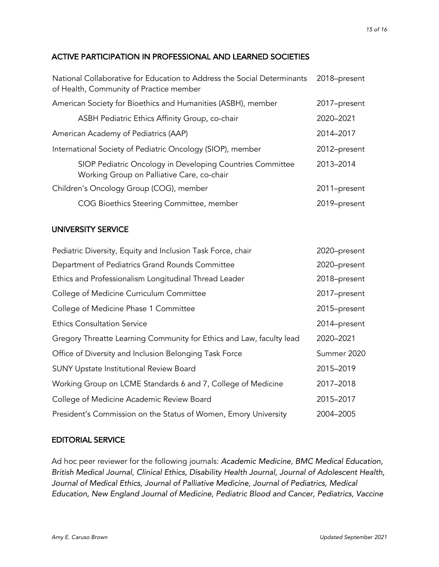# ACTIVE PARTICIPATION IN PROFESSIONAL AND LEARNED SOCIETIES

| National Collaborative for Education to Address the Social Determinants<br>of Health, Community of Practice member | 2018-present |
|--------------------------------------------------------------------------------------------------------------------|--------------|
| American Society for Bioethics and Humanities (ASBH), member                                                       | 2017-present |
| ASBH Pediatric Ethics Affinity Group, co-chair                                                                     | 2020-2021    |
| American Academy of Pediatrics (AAP)                                                                               | 2014-2017    |
| International Society of Pediatric Oncology (SIOP), member                                                         | 2012-present |
| SIOP Pediatric Oncology in Developing Countries Committee<br>Working Group on Palliative Care, co-chair            | 2013-2014    |
| Children's Oncology Group (COG), member                                                                            | 2011-present |
| COG Bioethics Steering Committee, member                                                                           | 2019-present |

#### UNIVERSITY SERVICE

| Pediatric Diversity, Equity and Inclusion Task Force, chair          | 2020-present |
|----------------------------------------------------------------------|--------------|
| Department of Pediatrics Grand Rounds Committee                      | 2020-present |
| Ethics and Professionalism Longitudinal Thread Leader                | 2018-present |
| College of Medicine Curriculum Committee                             | 2017-present |
| College of Medicine Phase 1 Committee                                | 2015-present |
| <b>Ethics Consultation Service</b>                                   | 2014-present |
| Gregory Threatte Learning Community for Ethics and Law, faculty lead | 2020-2021    |
| Office of Diversity and Inclusion Belonging Task Force               | Summer 2020  |
| <b>SUNY Upstate Institutional Review Board</b>                       | 2015-2019    |
| Working Group on LCME Standards 6 and 7, College of Medicine         | 2017-2018    |
| College of Medicine Academic Review Board                            | 2015-2017    |
| President's Commission on the Status of Women, Emory University      | 2004-2005    |

#### EDITORIAL SERVICE

Ad hoc peer reviewer for the following journals: *Academic Medicine, BMC Medical Education, British Medical Journal, Clinical Ethics, Disability Health Journal, Journal of Adolescent Health, Journal of Medical Ethics, Journal of Palliative Medicine, Journal of Pediatrics, Medical Education, New England Journal of Medicine, Pediatric Blood and Cancer, Pediatrics, Vaccine*